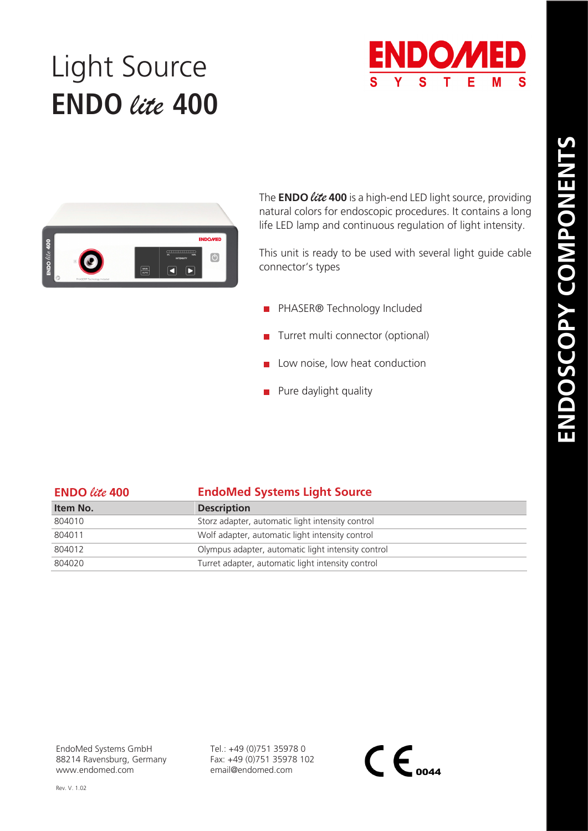## Light Source **ENDO** *lite* **400**





The **ENDO** *lite***<sup>400</sup>**is a high-end LED light source, providing natural colors for endoscopic procedures. It contains a long life LED lamp and continuous regulation of light intensity.

This unit is ready to be used with several light guide cable connector's types

- **PHASER® Technology Included**
- **Turret multi connector (optional)**
- $\blacksquare$  Low noise, low heat conduction
- $\blacksquare$  Pure daylight quality

| <b>ENDO</b> lite 400 | <b>EndoMed Systems Light Source</b>                |
|----------------------|----------------------------------------------------|
| Item No.             | <b>Description</b>                                 |
| 804010               | Storz adapter, automatic light intensity control   |
| 804011               | Wolf adapter, automatic light intensity control    |
| 804012               | Olympus adapter, automatic light intensity control |
| 804020               | Turret adapter, automatic light intensity control  |

EndoMed Systems GmbH 88214 Ravensburg, Germany www.endomed.com

Tel.: +49 (0)751 35978 0 Fax: +49 (0)751 35978 102 email@endomed.com

 $\mathsf{CE}_{\scriptscriptstyle{0044}}$